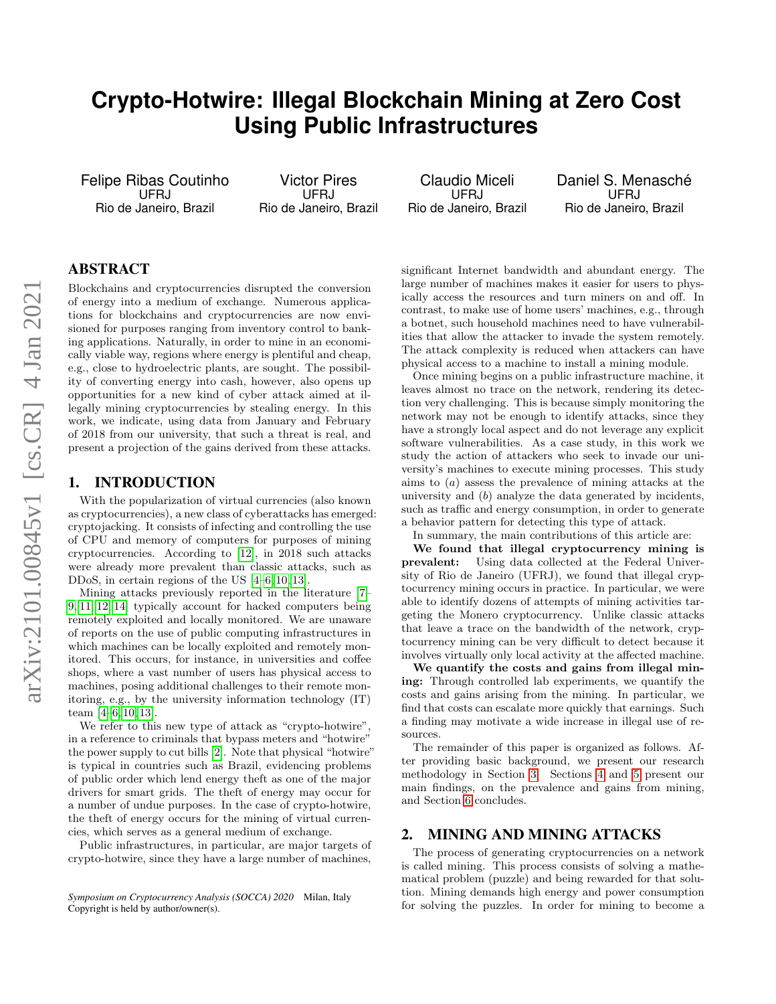# **Crypto-Hotwire: Illegal Blockchain Mining at Zero Cost Using Public Infrastructures**

Felipe Ribas Coutinho UFRJ Rio de Janeiro, Brazil

Victor Pires UFRJ Rio de Janeiro, Brazil

Claudio Miceli UFRJ Rio de Janeiro, Brazil Daniel S. Menasché UFRJ Rio de Janeiro, Brazil

# ABSTRACT

Blockchains and cryptocurrencies disrupted the conversion of energy into a medium of exchange. Numerous applications for blockchains and cryptocurrencies are now envisioned for purposes ranging from inventory control to banking applications. Naturally, in order to mine in an economically viable way, regions where energy is plentiful and cheap, e.g., close to hydroelectric plants, are sought. The possibility of converting energy into cash, however, also opens up opportunities for a new kind of cyber attack aimed at illegally mining cryptocurrencies by stealing energy. In this work, we indicate, using data from January and February of 2018 from our university, that such a threat is real, and present a projection of the gains derived from these attacks.

## 1. INTRODUCTION

With the popularization of virtual currencies (also known as cryptocurrencies), a new class of cyberattacks has emerged: cryptojacking. It consists of infecting and controlling the use of CPU and memory of computers for purposes of mining cryptocurrencies. According to [\[12\]](#page-3-0), in 2018 such attacks were already more prevalent than classic attacks, such as DDoS, in certain regions of the US [\[4–](#page-3-1)[6,](#page-3-2) [10,](#page-3-3) [13\]](#page-3-4).

Mining attacks previously reported in the literature [\[7–](#page-3-5) [9,](#page-3-6) [11,](#page-3-7) [12,](#page-3-0) [14\]](#page-3-8) typically account for hacked computers being remotely exploited and locally monitored. We are unaware of reports on the use of public computing infrastructures in which machines can be locally exploited and remotely monitored. This occurs, for instance, in universities and coffee shops, where a vast number of users has physical access to machines, posing additional challenges to their remote monitoring, e.g., by the university information technology (IT) team [\[4–](#page-3-1)[6,](#page-3-2) [10,](#page-3-3) [13\]](#page-3-4).

We refer to this new type of attack as "crypto-hotwire", in a reference to criminals that bypass meters and "hotwire" the power supply to cut bills [\[2\]](#page-3-9). Note that physical "hotwire" is typical in countries such as Brazil, evidencing problems of public order which lend energy theft as one of the major drivers for smart grids. The theft of energy may occur for a number of undue purposes. In the case of crypto-hotwire, the theft of energy occurs for the mining of virtual currencies, which serves as a general medium of exchange.

Public infrastructures, in particular, are major targets of crypto-hotwire, since they have a large number of machines,

significant Internet bandwidth and abundant energy. The large number of machines makes it easier for users to physically access the resources and turn miners on and off. In contrast, to make use of home users' machines, e.g., through a botnet, such household machines need to have vulnerabilities that allow the attacker to invade the system remotely. The attack complexity is reduced when attackers can have physical access to a machine to install a mining module.

Once mining begins on a public infrastructure machine, it leaves almost no trace on the network, rendering its detection very challenging. This is because simply monitoring the network may not be enough to identify attacks, since they have a strongly local aspect and do not leverage any explicit software vulnerabilities. As a case study, in this work we study the action of attackers who seek to invade our university's machines to execute mining processes. This study aims to (a) assess the prevalence of mining attacks at the university and (b) analyze the data generated by incidents, such as traffic and energy consumption, in order to generate a behavior pattern for detecting this type of attack.

In summary, the main contributions of this article are:

We found that illegal cryptocurrency mining is prevalent: Using data collected at the Federal University of Rio de Janeiro (UFRJ), we found that illegal cryptocurrency mining occurs in practice. In particular, we were able to identify dozens of attempts of mining activities targeting the Monero cryptocurrency. Unlike classic attacks that leave a trace on the bandwidth of the network, cryptocurrency mining can be very difficult to detect because it involves virtually only local activity at the affected machine.

We quantify the costs and gains from illegal mining: Through controlled lab experiments, we quantify the costs and gains arising from the mining. In particular, we find that costs can escalate more quickly that earnings. Such a finding may motivate a wide increase in illegal use of resources.

The remainder of this paper is organized as follows. After providing basic background, we present our research methodology in Section [3.](#page-1-0) Sections [4](#page-2-0) and [5](#page-2-1) present our main findings, on the prevalence and gains from mining, and Section [6](#page-3-10) concludes.

#### 2. MINING AND MINING ATTACKS

The process of generating cryptocurrencies on a network is called mining. This process consists of solving a mathematical problem (puzzle) and being rewarded for that solution. Mining demands high energy and power consumption for solving the puzzles. In order for mining to become a

*Symposium on Cryptocurrency Analysis (SOCCA) 2020* Milan, Italy Copyright is held by author/owner(s).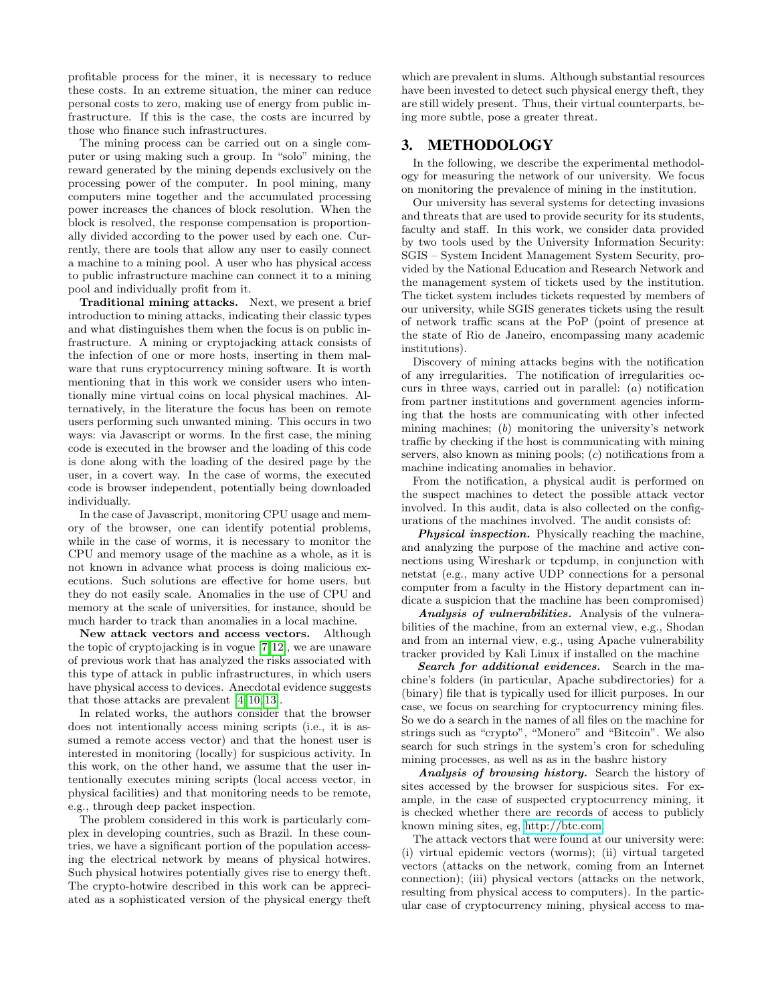profitable process for the miner, it is necessary to reduce these costs. In an extreme situation, the miner can reduce personal costs to zero, making use of energy from public infrastructure. If this is the case, the costs are incurred by those who finance such infrastructures.

The mining process can be carried out on a single computer or using making such a group. In "solo" mining, the reward generated by the mining depends exclusively on the processing power of the computer. In pool mining, many computers mine together and the accumulated processing power increases the chances of block resolution. When the block is resolved, the response compensation is proportionally divided according to the power used by each one. Currently, there are tools that allow any user to easily connect a machine to a mining pool. A user who has physical access to public infrastructure machine can connect it to a mining pool and individually profit from it.

Traditional mining attacks. Next, we present a brief introduction to mining attacks, indicating their classic types and what distinguishes them when the focus is on public infrastructure. A mining or cryptojacking attack consists of the infection of one or more hosts, inserting in them malware that runs cryptocurrency mining software. It is worth mentioning that in this work we consider users who intentionally mine virtual coins on local physical machines. Alternatively, in the literature the focus has been on remote users performing such unwanted mining. This occurs in two ways: via Javascript or worms. In the first case, the mining code is executed in the browser and the loading of this code is done along with the loading of the desired page by the user, in a covert way. In the case of worms, the executed code is browser independent, potentially being downloaded individually.

In the case of Javascript, monitoring CPU usage and memory of the browser, one can identify potential problems, while in the case of worms, it is necessary to monitor the CPU and memory usage of the machine as a whole, as it is not known in advance what process is doing malicious executions. Such solutions are effective for home users, but they do not easily scale. Anomalies in the use of CPU and memory at the scale of universities, for instance, should be much harder to track than anomalies in a local machine.

New attack vectors and access vectors. Although the topic of cryptojacking is in vogue [\[7,](#page-3-5)[12\]](#page-3-0), we are unaware of previous work that has analyzed the risks associated with this type of attack in public infrastructures, in which users have physical access to devices. Anecdotal evidence suggests that those attacks are prevalent [\[4,](#page-3-1) [10,](#page-3-3) [13\]](#page-3-4).

In related works, the authors consider that the browser does not intentionally access mining scripts (i.e., it is assumed a remote access vector) and that the honest user is interested in monitoring (locally) for suspicious activity. In this work, on the other hand, we assume that the user intentionally executes mining scripts (local access vector, in physical facilities) and that monitoring needs to be remote, e.g., through deep packet inspection.

The problem considered in this work is particularly complex in developing countries, such as Brazil. In these countries, we have a significant portion of the population accessing the electrical network by means of physical hotwires. Such physical hotwires potentially gives rise to energy theft. The crypto-hotwire described in this work can be appreciated as a sophisticated version of the physical energy theft which are prevalent in slums. Although substantial resources have been invested to detect such physical energy theft, they are still widely present. Thus, their virtual counterparts, being more subtle, pose a greater threat.

## <span id="page-1-0"></span>3. METHODOLOGY

In the following, we describe the experimental methodology for measuring the network of our university. We focus on monitoring the prevalence of mining in the institution.

Our university has several systems for detecting invasions and threats that are used to provide security for its students, faculty and staff. In this work, we consider data provided by two tools used by the University Information Security: SGIS – System Incident Management System Security, provided by the National Education and Research Network and the management system of tickets used by the institution. The ticket system includes tickets requested by members of our university, while SGIS generates tickets using the result of network traffic scans at the PoP (point of presence at the state of Rio de Janeiro, encompassing many academic institutions).

Discovery of mining attacks begins with the notification of any irregularities. The notification of irregularities occurs in three ways, carried out in parallel: (a) notification from partner institutions and government agencies informing that the hosts are communicating with other infected mining machines; (b) monitoring the university's network traffic by checking if the host is communicating with mining servers, also known as mining pools; (c) notifications from a machine indicating anomalies in behavior.

From the notification, a physical audit is performed on the suspect machines to detect the possible attack vector involved. In this audit, data is also collected on the configurations of the machines involved. The audit consists of:

Physical inspection. Physically reaching the machine, and analyzing the purpose of the machine and active connections using Wireshark or tcpdump, in conjunction with netstat (e.g., many active UDP connections for a personal computer from a faculty in the History department can indicate a suspicion that the machine has been compromised)

Analysis of vulnerabilities. Analysis of the vulnerabilities of the machine, from an external view, e.g., Shodan and from an internal view, e.g., using Apache vulnerability tracker provided by Kali Linux if installed on the machine

Search for additional evidences. Search in the machine's folders (in particular, Apache subdirectories) for a (binary) file that is typically used for illicit purposes. In our case, we focus on searching for cryptocurrency mining files. So we do a search in the names of all files on the machine for strings such as "crypto", "Monero" and "Bitcoin". We also search for such strings in the system's cron for scheduling mining processes, as well as as in the bashrc history

Analysis of browsing history. Search the history of sites accessed by the browser for suspicious sites. For example, in the case of suspected cryptocurrency mining, it is checked whether there are records of access to publicly known mining sites, eg, [http://btc.com.](http://btc.com)

The attack vectors that were found at our university were: (i) virtual epidemic vectors (worms); (ii) virtual targeted vectors (attacks on the network, coming from an Internet connection); (iii) physical vectors (attacks on the network, resulting from physical access to computers). In the particular case of cryptocurrency mining, physical access to ma-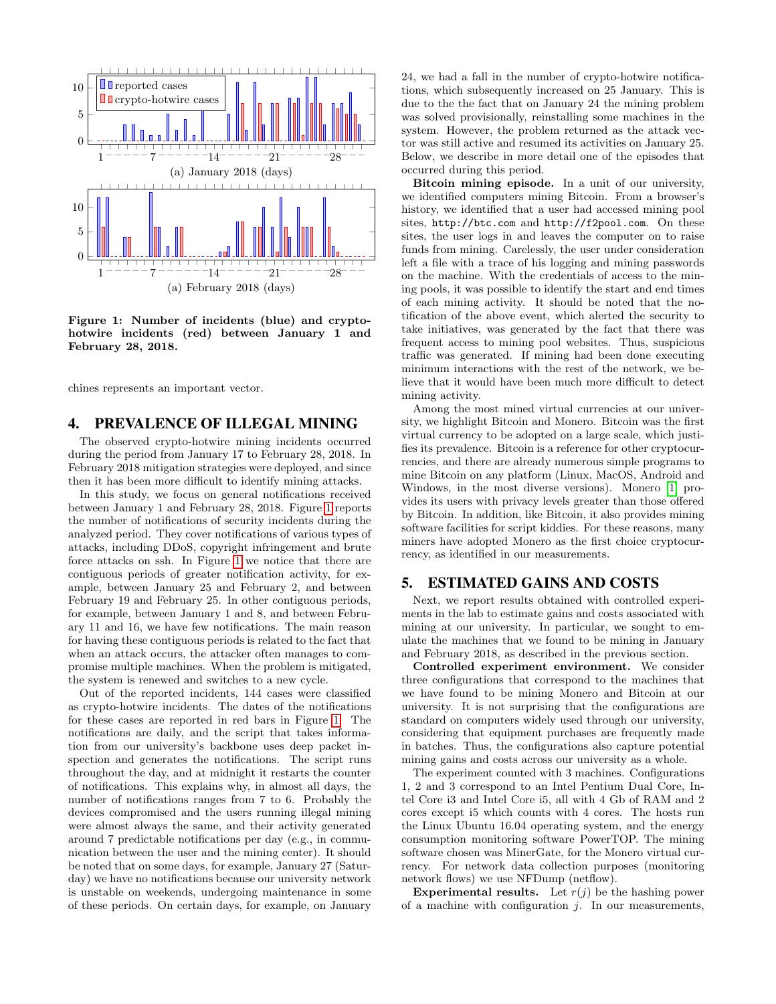

<span id="page-2-2"></span>Figure 1: Number of incidents (blue) and cryptohotwire incidents (red) between January 1 and February 28, 2018.

chines represents an important vector.

#### <span id="page-2-0"></span>4. PREVALENCE OF ILLEGAL MINING

The observed crypto-hotwire mining incidents occurred during the period from January 17 to February 28, 2018. In February 2018 mitigation strategies were deployed, and since then it has been more difficult to identify mining attacks.

In this study, we focus on general notifications received between January 1 and February 28, 2018. Figure [1](#page-2-2) reports the number of notifications of security incidents during the analyzed period. They cover notifications of various types of attacks, including DDoS, copyright infringement and brute force attacks on ssh. In Figure [1](#page-2-2) we notice that there are contiguous periods of greater notification activity, for example, between January 25 and February 2, and between February 19 and February 25. In other contiguous periods, for example, between January 1 and 8, and between February 11 and 16, we have few notifications. The main reason for having these contiguous periods is related to the fact that when an attack occurs, the attacker often manages to compromise multiple machines. When the problem is mitigated, the system is renewed and switches to a new cycle.

Out of the reported incidents, 144 cases were classified as crypto-hotwire incidents. The dates of the notifications for these cases are reported in red bars in Figure [1.](#page-2-2) The notifications are daily, and the script that takes information from our university's backbone uses deep packet inspection and generates the notifications. The script runs throughout the day, and at midnight it restarts the counter of notifications. This explains why, in almost all days, the number of notifications ranges from 7 to 6. Probably the devices compromised and the users running illegal mining were almost always the same, and their activity generated around 7 predictable notifications per day (e.g., in communication between the user and the mining center). It should be noted that on some days, for example, January 27 (Saturday) we have no notifications because our university network is unstable on weekends, undergoing maintenance in some of these periods. On certain days, for example, on January

24, we had a fall in the number of crypto-hotwire notifications, which subsequently increased on 25 January. This is due to the the fact that on January 24 the mining problem was solved provisionally, reinstalling some machines in the system. However, the problem returned as the attack vector was still active and resumed its activities on January 25. Below, we describe in more detail one of the episodes that occurred during this period.

Bitcoin mining episode. In a unit of our university, we identified computers mining Bitcoin. From a browser's history, we identified that a user had accessed mining pool sites, http://btc.com and http://f2pool.com. On these sites, the user logs in and leaves the computer on to raise funds from mining. Carelessly, the user under consideration left a file with a trace of his logging and mining passwords on the machine. With the credentials of access to the mining pools, it was possible to identify the start and end times of each mining activity. It should be noted that the notification of the above event, which alerted the security to take initiatives, was generated by the fact that there was frequent access to mining pool websites. Thus, suspicious traffic was generated. If mining had been done executing minimum interactions with the rest of the network, we believe that it would have been much more difficult to detect mining activity.

Among the most mined virtual currencies at our university, we highlight Bitcoin and Monero. Bitcoin was the first virtual currency to be adopted on a large scale, which justifies its prevalence. Bitcoin is a reference for other cryptocurrencies, and there are already numerous simple programs to mine Bitcoin on any platform (Linux, MacOS, Android and Windows, in the most diverse versions). Monero [\[1\]](#page-3-11) provides its users with privacy levels greater than those offered by Bitcoin. In addition, like Bitcoin, it also provides mining software facilities for script kiddies. For these reasons, many miners have adopted Monero as the first choice cryptocurrency, as identified in our measurements.

## <span id="page-2-1"></span>5. ESTIMATED GAINS AND COSTS

Next, we report results obtained with controlled experiments in the lab to estimate gains and costs associated with mining at our university. In particular, we sought to emulate the machines that we found to be mining in January and February 2018, as described in the previous section.

Controlled experiment environment. We consider three configurations that correspond to the machines that we have found to be mining Monero and Bitcoin at our university. It is not surprising that the configurations are standard on computers widely used through our university, considering that equipment purchases are frequently made in batches. Thus, the configurations also capture potential mining gains and costs across our university as a whole.

The experiment counted with 3 machines. Configurations 1, 2 and 3 correspond to an Intel Pentium Dual Core, Intel Core i3 and Intel Core i5, all with 4 Gb of RAM and 2 cores except i5 which counts with 4 cores. The hosts run the Linux Ubuntu 16.04 operating system, and the energy consumption monitoring software PowerTOP. The mining software chosen was MinerGate, for the Monero virtual currency. For network data collection purposes (monitoring network flows) we use NFDump (netflow).

**Experimental results.** Let  $r(j)$  be the hashing power of a machine with configuration  $j$ . In our measurements,